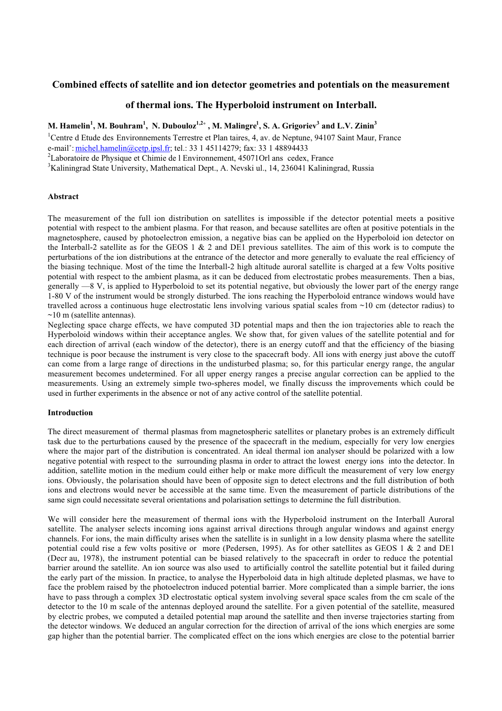# **Combined effects of satellite and ion detector geometries and potentials on the measurement**

## **of thermal ions. The Hyperboloid instrument on Interball.**

**M. Hamelin<sup>1</sup> , M. Bouhram<sup>1</sup> , N. Dubouloz1,2˚ , M. Malingre1 , S. A. Grigoriev<sup>3</sup> and L.V. Zinin<sup>3</sup>**

<sup>1</sup>Centre d Etude des Environnements Terrestre et Plan taires, 4, av. de Neptune, 94107 Saint Maur, France

e-mail°: michel.hamelin@cetp.ipsl.fr; tel.: 33 1 45114279; fax: 33 1 48894433

 $2^2$ Laboratoire de Physique et Chimie de l Environnement, 45071 Orl ans cedex, France

<sup>3</sup>Kaliningrad State University, Mathematical Dept., A. Nevski ul., 14, 236041 Kaliningrad, Russia

#### **Abstract**

The measurement of the full ion distribution on satellites is impossible if the detector potential meets a positive potential with respect to the ambient plasma. For that reason, and because satellites are often at positive potentials in the magnetosphere, caused by photoelectron emission, a negative bias can be applied on the Hyperboloid ion detector on the Interball-2 satellite as for the GEOS 1 & 2 and DE1 previous satellites. The aim of this work is to compute the perturbations of the ion distributions at the entrance of the detector and more generally to evaluate the real efficiency of the biasing technique. Most of the time the Interball-2 high altitude auroral satellite is charged at a few Volts positive potential with respect to the ambient plasma, as it can be deduced from electrostatic probes measurements. Then a bias, generally —8 V, is applied to Hyperboloid to set its potential negative, but obviously the lower part of the energy range 1-80 V of the instrument would be strongly disturbed. The ions reaching the Hyperboloid entrance windows would have travelled across a continuous huge electrostatic lens involving various spatial scales from ~10 cm (detector radius) to  $\sim$ 10 m (satellite antennas).

Neglecting space charge effects, we have computed 3D potential maps and then the ion trajectories able to reach the Hyperboloid windows within their acceptance angles. We show that, for given values of the satellite potential and for each direction of arrival (each window of the detector), there is an energy cutoff and that the efficiency of the biasing technique is poor because the instrument is very close to the spacecraft body. All ions with energy just above the cutoff can come from a large range of directions in the undisturbed plasma; so, for this particular energy range, the angular measurement becomes undetermined. For all upper energy ranges a precise angular correction can be applied to the measurements. Using an extremely simple two-spheres model, we finally discuss the improvements which could be used in further experiments in the absence or not of any active control of the satellite potential.

### **Introduction**

The direct measurement of thermal plasmas from magnetospheric satellites or planetary probes is an extremely difficult task due to the perturbations caused by the presence of the spacecraft in the medium, especially for very low energies where the major part of the distribution is concentrated. An ideal thermal ion analyser should be polarized with a low negative potential with respect to the surrounding plasma in order to attract the lowest energy ions into the detector. In addition, satellite motion in the medium could either help or make more difficult the measurement of very low energy ions. Obviously, the polarisation should have been of opposite sign to detect electrons and the full distribution of both ions and electrons would never be accessible at the same time. Even the measurement of particle distributions of the same sign could necessitate several orientations and polarisation settings to determine the full distribution.

We will consider here the measurement of thermal ions with the Hyperboloid instrument on the Interball Auroral satellite. The analyser selects incoming ions against arrival directions through angular windows and against energy channels. For ions, the main difficulty arises when the satellite is in sunlight in a low density plasma where the satellite potential could rise a few volts positive or more (Pedersen, 1995). As for other satellites as GEOS 1 & 2 and DE1 (Decr au, 1978), the instrument potential can be biased relatively to the spacecraft in order to reduce the potential barrier around the satellite. An ion source was also used to artificially control the satellite potential but it failed during the early part of the mission. In practice, to analyse the Hyperboloid data in high altitude depleted plasmas, we have to face the problem raised by the photoelectron induced potential barrier. More complicated than a simple barrier, the ions have to pass through a complex 3D electrostatic optical system involving several space scales from the cm scale of the detector to the 10 m scale of the antennas deployed around the satellite. For a given potential of the satellite, measured by electric probes, we computed a detailed potential map around the satellite and then inverse trajectories starting from the detector windows. We deduced an angular correction for the direction of arrival of the ions which energies are some gap higher than the potential barrier. The complicated effect on the ions which energies are close to the potential barrier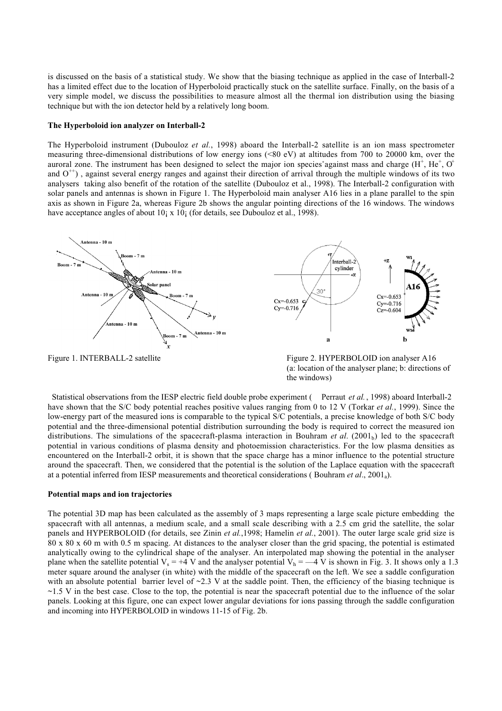is discussed on the basis of a statistical study. We show that the biasing technique as applied in the case of Interball-2 has a limited effect due to the location of Hyperboloid practically stuck on the satellite surface. Finally, on the basis of a very simple model, we discuss the possibilities to measure almost all the thermal ion distribution using the biasing technique but with the ion detector held by a relatively long boom.

#### **The Hyperboloid ion analyzer on Interball-2**

The Hyperboloid instrument (Dubouloz *et al.*, 1998) aboard the Interball-2 satellite is an ion mass spectrometer measuring three-dimensional distributions of low energy ions (<80 eV) at altitudes from 700 to 20000 km, over the auroral zone. The instrument has been designed to select the major ion species against mass and charge  $(H^+, He^+, O^+)$ and  $O^{++}$ ), against several energy ranges and against their direction of arrival through the multiple windows of its two analysers taking also benefit of the rotation of the satellite (Dubouloz et al., 1998). The Interball-2 configuration with solar panels and antennas is shown in Figure 1. The Hyperboloid main analyser A16 lies in a plane parallel to the spin axis as shown in Figure 2a, whereas Figure 2b shows the angular pointing directions of the 16 windows. The windows have acceptance angles of about 10; x 10; (for details, see Dubouloz et al., 1998).



(a: location of the analyser plane; b: directions of the windows)

 Statistical observations from the IESP electric field double probe experiment ( Perraut *et al.*, 1998) aboard Interball-2 have shown that the S/C body potential reaches positive values ranging from 0 to 12 V (Torkar *et al.*, 1999). Since the low-energy part of the measured ions is comparable to the typical S/C potentials, a precise knowledge of both S/C body potential and the three-dimensional potential distribution surrounding the body is required to correct the measured ion distributions. The simulations of the spacecraft-plasma interaction in Bouhram *et al.* (2001<sub>b</sub>) led to the spacecraft potential in various conditions of plasma density and photoemission characteristics. For the low plasma densities as encountered on the Interball-2 orbit, it is shown that the space charge has a minor influence to the potential structure around the spacecraft. Then, we considered that the potential is the solution of the Laplace equation with the spacecraft at a potential inferred from IESP measurements and theoretical considerations ( Bouhram *et al*., 2001a).

#### **Potential maps and ion trajectories**

The potential 3D map has been calculated as the assembly of 3 maps representing a large scale picture embedding the spacecraft with all antennas, a medium scale, and a small scale describing with a 2.5 cm grid the satellite, the solar panels and HYPERBOLOID (for details, see Zinin *et al.*,1998; Hamelin *et al.*, 2001). The outer large scale grid size is 80 x 80 x 60 m with 0.5 m spacing. At distances to the analyser closer than the grid spacing, the potential is estimated analytically owing to the cylindrical shape of the analyser. An interpolated map showing the potential in the analyser plane when the satellite potential  $V_s = +4 V$  and the analyser potential  $V_h = -4 V$  is shown in Fig. 3. It shows only a 1.3 meter square around the analyser (in white) with the middle of the spacecraft on the left. We see a saddle configuration with an absolute potential barrier level of  $\sim$ 2.3 V at the saddle point. Then, the efficiency of the biasing technique is  $\sim$ 1.5 V in the best case. Close to the top, the potential is near the spacecraft potential due to the influence of the solar panels. Looking at this figure, one can expect lower angular deviations for ions passing through the saddle configuration and incoming into HYPERBOLOID in windows 11-15 of Fig. 2b.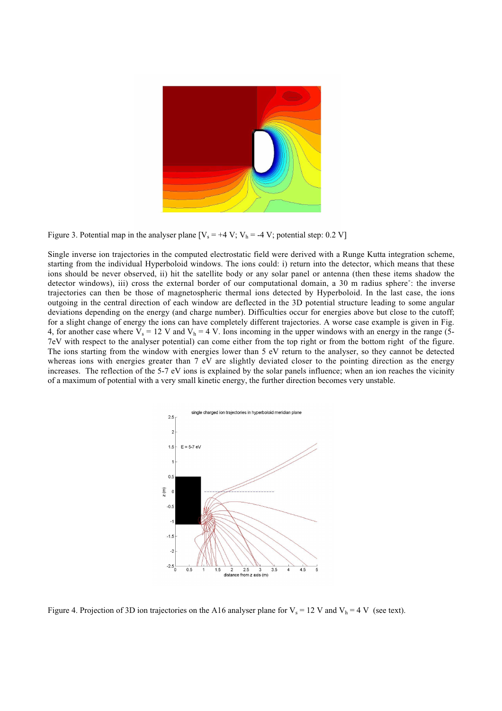

Figure 3. Potential map in the analyser plane  $[V_s = +4 V; V_h = -4 V;$  potential step: 0.2 V]

Single inverse ion trajectories in the computed electrostatic field were derived with a Runge Kutta integration scheme, starting from the individual Hyperboloid windows. The ions could: i) return into the detector, which means that these ions should be never observed, ii) hit the satellite body or any solar panel or antenna (then these items shadow the detector windows), iii) cross the external border of our computational domain, a 30 m radius sphere°: the inverse trajectories can then be those of magnetospheric thermal ions detected by Hyperboloid. In the last case, the ions outgoing in the central direction of each window are deflected in the 3D potential structure leading to some angular deviations depending on the energy (and charge number). Difficulties occur for energies above but close to the cutoff; for a slight change of energy the ions can have completely different trajectories. A worse case example is given in Fig. 4, for another case where  $V_s = 12$  V and  $V_h = 4$  V. Ions incoming in the upper windows with an energy in the range (5-7eV with respect to the analyser potential) can come either from the top right or from the bottom right of the figure. The ions starting from the window with energies lower than 5 eV return to the analyser, so they cannot be detected whereas ions with energies greater than 7 eV are slightly deviated closer to the pointing direction as the energy increases. The reflection of the 5-7 eV ions is explained by the solar panels influence; when an ion reaches the vicinity of a maximum of potential with a very small kinetic energy, the further direction becomes very unstable.



Figure 4. Projection of 3D ion trajectories on the A16 analyser plane for  $V_s = 12$  V and  $V_h = 4$  V (see text).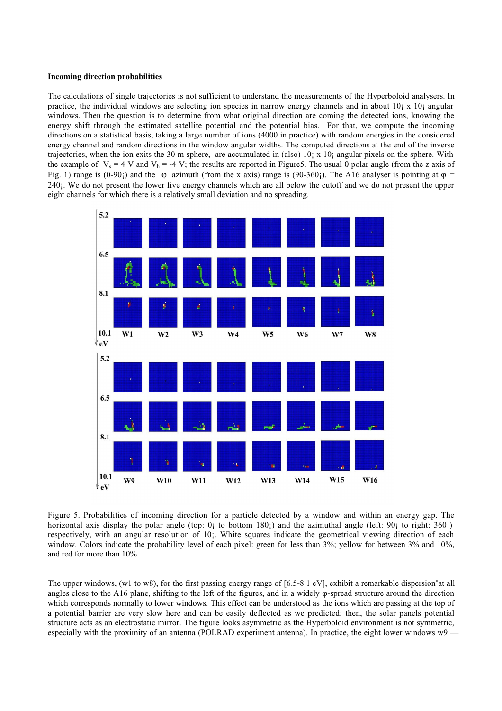#### **Incoming direction probabilities**

The calculations of single trajectories is not sufficient to understand the measurements of the Hyperboloid analysers. In practice, the individual windows are selecting ion species in narrow energy channels and in about 10; x 10; angular windows. Then the question is to determine from what original direction are coming the detected ions, knowing the energy shift through the estimated satellite potential and the potential bias. For that, we compute the incoming directions on a statistical basis, taking a large number of ions (4000 in practice) with random energies in the considered energy channel and random directions in the window angular widths. The computed directions at the end of the inverse trajectories, when the ion exits the 30 m sphere, are accumulated in (also)  $10<sub>i</sub> \times 10<sub>i</sub>$  angular pixels on the sphere. With the example of  $V_s = 4$  V and  $V_h = -4$  V; the results are reported in Figure5. The usual  $\theta$  polar angle (from the z axis of Fig. 1) range is  $(0-90)$  and the  $\varphi$  azimuth (from the x axis) range is  $(90-360)$ . The A16 analyser is pointing at  $\varphi$  = 240¡. We do not present the lower five energy channels which are all below the cutoff and we do not present the upper eight channels for which there is a relatively small deviation and no spreading.



Figure 5. Probabilities of incoming direction for a particle detected by a window and within an energy gap. The horizontal axis display the polar angle (top: 0; to bottom 180;) and the azimuthal angle (left: 90; to right: 360;) respectively, with an angular resolution of 10¡. White squares indicate the geometrical viewing direction of each window. Colors indicate the probability level of each pixel: green for less than 3%; yellow for between 3% and 10%, and red for more than 10%.

The upper windows, (w1 to w8), for the first passing energy range of  $[6.5-8.1 \text{ eV}]$ , exhibit a remarkable dispersion°at all angles close to the A16 plane, shifting to the left of the figures, and in a widely ϕ-spread structure around the direction which corresponds normally to lower windows. This effect can be understood as the ions which are passing at the top of a potential barrier are very slow here and can be easily deflected as we predicted; then, the solar panels potential structure acts as an electrostatic mirror. The figure looks asymmetric as the Hyperboloid environment is not symmetric, especially with the proximity of an antenna (POLRAD experiment antenna). In practice, the eight lower windows  $w9$  —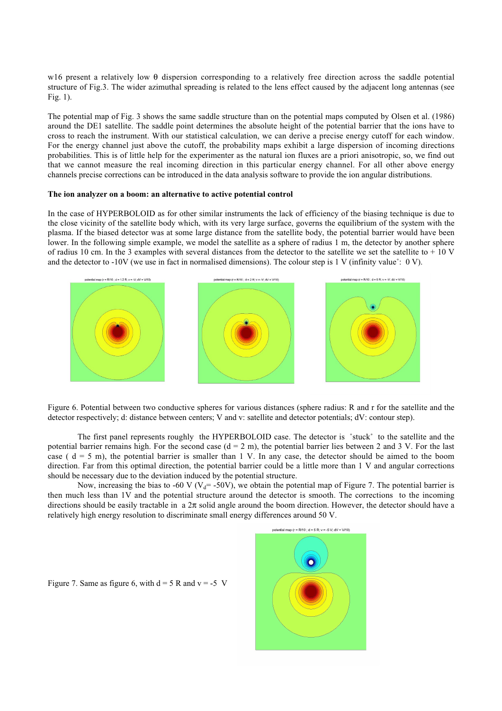w16 present a relatively low θ dispersion corresponding to a relatively free direction across the saddle potential structure of Fig.3. The wider azimuthal spreading is related to the lens effect caused by the adjacent long antennas (see Fig. 1).

The potential map of Fig. 3 shows the same saddle structure than on the potential maps computed by Olsen et al. (1986) around the DE1 satellite. The saddle point determines the absolute height of the potential barrier that the ions have to cross to reach the instrument. With our statistical calculation, we can derive a precise energy cutoff for each window. For the energy channel just above the cutoff, the probability maps exhibit a large dispersion of incoming directions probabilities. This is of little help for the experimenter as the natural ion fluxes are a priori anisotropic, so, we find out that we cannot measure the real incoming direction in this particular energy channel. For all other above energy channels precise corrections can be introduced in the data analysis software to provide the ion angular distributions.

### **The ion analyzer on a boom: an alternative to active potential control**

In the case of HYPERBOLOID as for other similar instruments the lack of efficiency of the biasing technique is due to the close vicinity of the satellite body which, with its very large surface, governs the equilibrium of the system with the plasma. If the biased detector was at some large distance from the satellite body, the potential barrier would have been lower. In the following simple example, we model the satellite as a sphere of radius 1 m, the detector by another sphere of radius 10 cm. In the 3 examples with several distances from the detector to the satellite we set the satellite to  $+ 10$  V and the detector to -10V (we use in fact in normalised dimensions). The colour step is 1 V (infinity value $\degree$ : 0 V).



Figure 6. Potential between two conductive spheres for various distances (sphere radius: R and r for the satellite and the detector respectively; d: distance between centers; V and v: satellite and detector potentials; dV: contour step).

The first panel represents roughly the HYPERBOLOID case. The detector is ˚stuck˚ to the satellite and the potential barrier remains high. For the second case  $(d = 2 m)$ , the potential barrier lies between 2 and 3 V. For the last case ( $d = 5$  m), the potential barrier is smaller than 1 V. In any case, the detector should be aimed to the boom direction. Far from this optimal direction, the potential barrier could be a little more than 1 V and angular corrections should be necessary due to the deviation induced by the potential structure.

Now, increasing the bias to -60 V ( $V_d$ = -50V), we obtain the potential map of Figure 7. The potential barrier is then much less than  $1\overline{V}$  and the potential structure around the detector is smooth. The corrections to the incoming directions should be easily tractable in a 2π solid angle around the boom direction. However, the detector should have a relatively high energy resolution to discriminate small energy differences around 50 V.



Figure 7. Same as figure 6, with  $d = 5 R$  and  $v = -5 V$